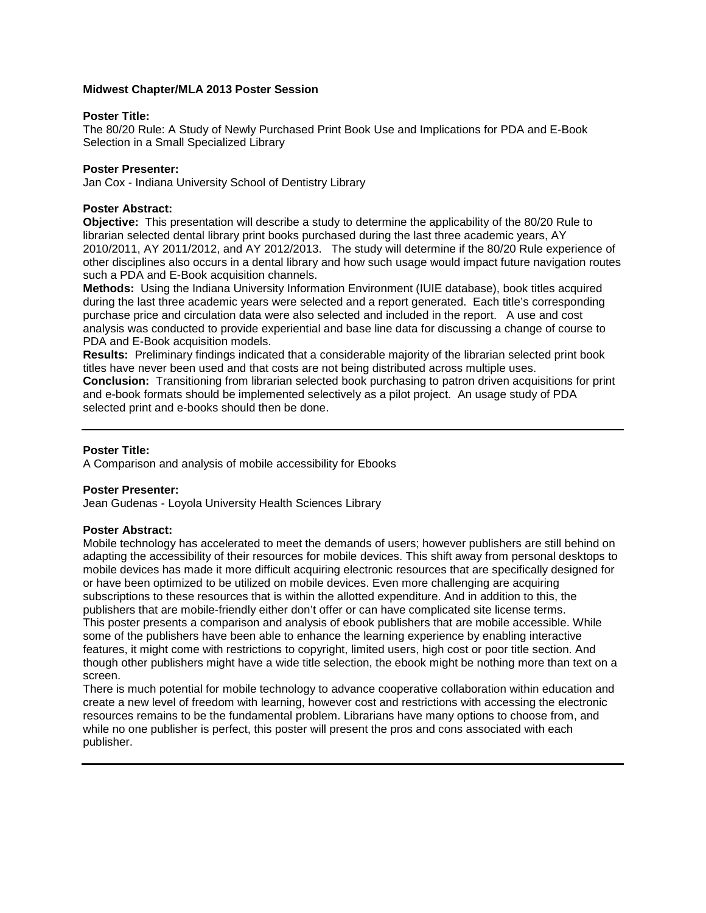## **Midwest Chapter/MLA 2013 Poster Session**

## **Poster Title:**

The 80/20 Rule: A Study of Newly Purchased Print Book Use and Implications for PDA and E-Book Selection in a Small Specialized Library

# **Poster Presenter:**

Jan Cox - Indiana University School of Dentistry Library

# **Poster Abstract:**

**Objective:** This presentation will describe a study to determine the applicability of the 80/20 Rule to librarian selected dental library print books purchased during the last three academic years, AY 2010/2011, AY 2011/2012, and AY 2012/2013. The study will determine if the 80/20 Rule experience of other disciplines also occurs in a dental library and how such usage would impact future navigation routes such a PDA and E-Book acquisition channels.

**Methods:** Using the Indiana University Information Environment (IUIE database), book titles acquired during the last three academic years were selected and a report generated. Each title's corresponding purchase price and circulation data were also selected and included in the report. A use and cost analysis was conducted to provide experiential and base line data for discussing a change of course to PDA and E-Book acquisition models.

**Results:** Preliminary findings indicated that a considerable majority of the librarian selected print book titles have never been used and that costs are not being distributed across multiple uses.

**Conclusion:** Transitioning from librarian selected book purchasing to patron driven acquisitions for print and e-book formats should be implemented selectively as a pilot project. An usage study of PDA selected print and e-books should then be done.

# **Poster Title:**

A Comparison and analysis of mobile accessibility for Ebooks

# **Poster Presenter:**

Jean Gudenas - Loyola University Health Sciences Library

## **Poster Abstract:**

Mobile technology has accelerated to meet the demands of users; however publishers are still behind on adapting the accessibility of their resources for mobile devices. This shift away from personal desktops to mobile devices has made it more difficult acquiring electronic resources that are specifically designed for or have been optimized to be utilized on mobile devices. Even more challenging are acquiring subscriptions to these resources that is within the allotted expenditure. And in addition to this, the publishers that are mobile-friendly either don't offer or can have complicated site license terms. This poster presents a comparison and analysis of ebook publishers that are mobile accessible. While some of the publishers have been able to enhance the learning experience by enabling interactive features, it might come with restrictions to copyright, limited users, high cost or poor title section. And though other publishers might have a wide title selection, the ebook might be nothing more than text on a screen.

There is much potential for mobile technology to advance cooperative collaboration within education and create a new level of freedom with learning, however cost and restrictions with accessing the electronic resources remains to be the fundamental problem. Librarians have many options to choose from, and while no one publisher is perfect, this poster will present the pros and cons associated with each publisher.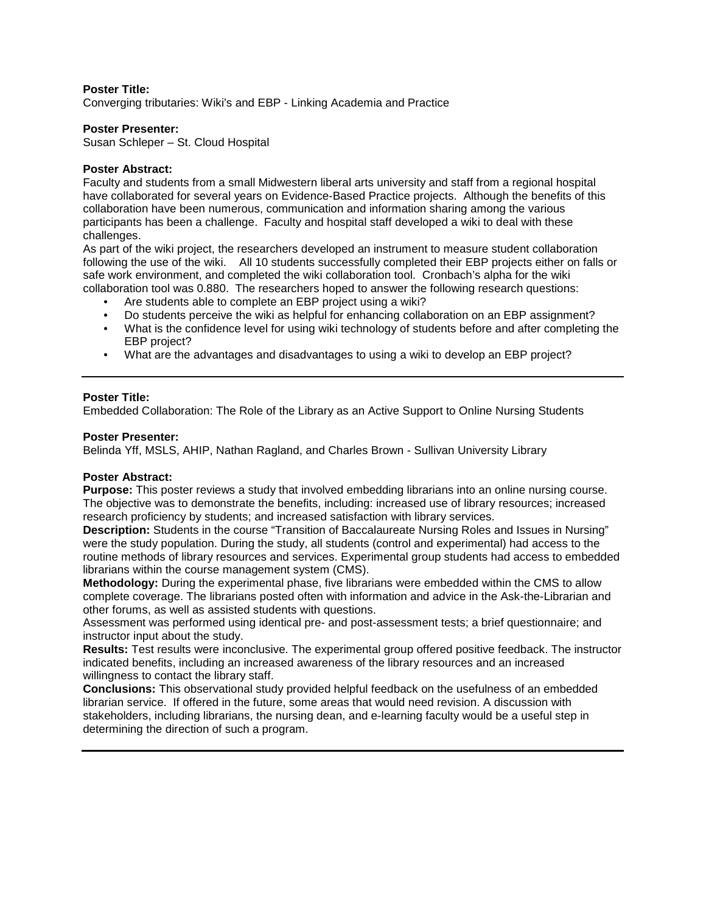Converging tributaries: Wiki's and EBP - Linking Academia and Practice

## **Poster Presenter:**

Susan Schleper – St. Cloud Hospital

#### **Poster Abstract:**

Faculty and students from a small Midwestern liberal arts university and staff from a regional hospital have collaborated for several years on Evidence-Based Practice projects. Although the benefits of this collaboration have been numerous, communication and information sharing among the various participants has been a challenge. Faculty and hospital staff developed a wiki to deal with these challenges.

As part of the wiki project, the researchers developed an instrument to measure student collaboration following the use of the wiki. All 10 students successfully completed their EBP projects either on falls or safe work environment, and completed the wiki collaboration tool. Cronbach's alpha for the wiki collaboration tool was 0.880. The researchers hoped to answer the following research questions:

- Are students able to complete an EBP project using a wiki?
- Do students perceive the wiki as helpful for enhancing collaboration on an EBP assignment?
- What is the confidence level for using wiki technology of students before and after completing the EBP project?
- What are the advantages and disadvantages to using a wiki to develop an EBP project?

## **Poster Title:**

Embedded Collaboration: The Role of the Library as an Active Support to Online Nursing Students

#### **Poster Presenter:**

Belinda Yff, MSLS, AHIP, Nathan Ragland, and Charles Brown - Sullivan University Library

## **Poster Abstract:**

**Purpose:** This poster reviews a study that involved embedding librarians into an online nursing course. The objective was to demonstrate the benefits, including: increased use of library resources; increased research proficiency by students; and increased satisfaction with library services.

**Description:** Students in the course "Transition of Baccalaureate Nursing Roles and Issues in Nursing" were the study population. During the study, all students (control and experimental) had access to the routine methods of library resources and services. Experimental group students had access to embedded librarians within the course management system (CMS).

**Methodology:** During the experimental phase, five librarians were embedded within the CMS to allow complete coverage. The librarians posted often with information and advice in the Ask-the-Librarian and other forums, as well as assisted students with questions.

Assessment was performed using identical pre- and post-assessment tests; a brief questionnaire; and instructor input about the study.

**Results:** Test results were inconclusive. The experimental group offered positive feedback. The instructor indicated benefits, including an increased awareness of the library resources and an increased willingness to contact the library staff.

**Conclusions:** This observational study provided helpful feedback on the usefulness of an embedded librarian service. If offered in the future, some areas that would need revision. A discussion with stakeholders, including librarians, the nursing dean, and e-learning faculty would be a useful step in determining the direction of such a program.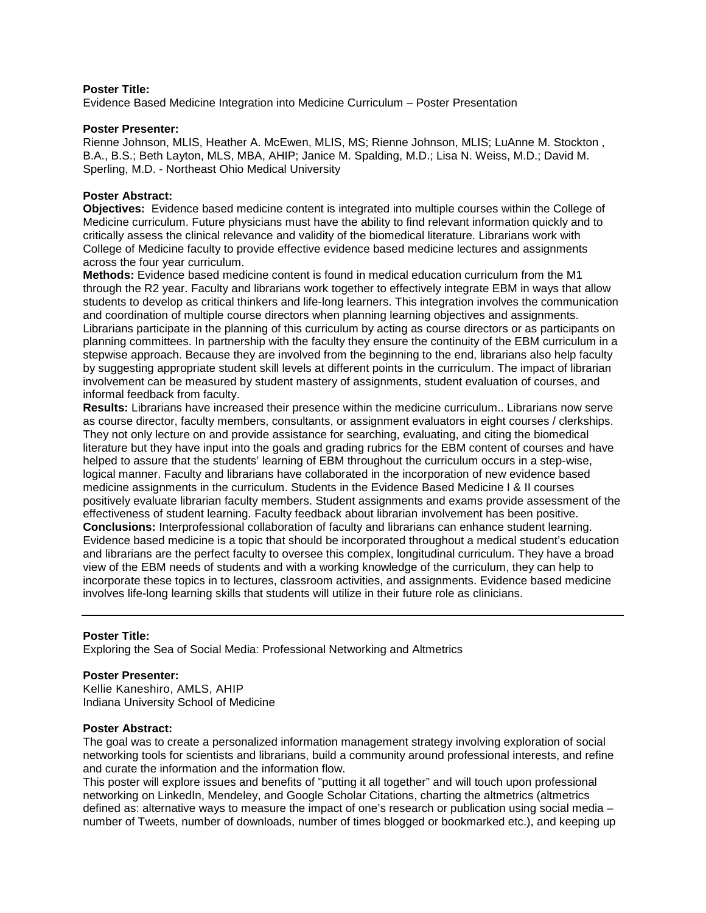Evidence Based Medicine Integration into Medicine Curriculum – Poster Presentation

#### **Poster Presenter:**

Rienne Johnson, MLIS, Heather A. McEwen, MLIS, MS; Rienne Johnson, MLIS; LuAnne M. Stockton , B.A., B.S.; Beth Layton, MLS, MBA, AHIP; Janice M. Spalding, M.D.; Lisa N. Weiss, M.D.; David M. Sperling, M.D. - Northeast Ohio Medical University

#### **Poster Abstract:**

**Objectives:** Evidence based medicine content is integrated into multiple courses within the College of Medicine curriculum. Future physicians must have the ability to find relevant information quickly and to critically assess the clinical relevance and validity of the biomedical literature. Librarians work with College of Medicine faculty to provide effective evidence based medicine lectures and assignments across the four year curriculum.

**Methods:** Evidence based medicine content is found in medical education curriculum from the M1 through the R2 year. Faculty and librarians work together to effectively integrate EBM in ways that allow students to develop as critical thinkers and life-long learners. This integration involves the communication and coordination of multiple course directors when planning learning objectives and assignments. Librarians participate in the planning of this curriculum by acting as course directors or as participants on planning committees. In partnership with the faculty they ensure the continuity of the EBM curriculum in a stepwise approach. Because they are involved from the beginning to the end, librarians also help faculty by suggesting appropriate student skill levels at different points in the curriculum. The impact of librarian involvement can be measured by student mastery of assignments, student evaluation of courses, and informal feedback from faculty.

**Results:** Librarians have increased their presence within the medicine curriculum.. Librarians now serve as course director, faculty members, consultants, or assignment evaluators in eight courses / clerkships. They not only lecture on and provide assistance for searching, evaluating, and citing the biomedical literature but they have input into the goals and grading rubrics for the EBM content of courses and have helped to assure that the students' learning of EBM throughout the curriculum occurs in a step-wise, logical manner. Faculty and librarians have collaborated in the incorporation of new evidence based medicine assignments in the curriculum. Students in the Evidence Based Medicine I & II courses positively evaluate librarian faculty members. Student assignments and exams provide assessment of the effectiveness of student learning. Faculty feedback about librarian involvement has been positive. **Conclusions:** Interprofessional collaboration of faculty and librarians can enhance student learning. Evidence based medicine is a topic that should be incorporated throughout a medical student's education and librarians are the perfect faculty to oversee this complex, longitudinal curriculum. They have a broad view of the EBM needs of students and with a working knowledge of the curriculum, they can help to incorporate these topics in to lectures, classroom activities, and assignments. Evidence based medicine involves life-long learning skills that students will utilize in their future role as clinicians.

## **Poster Title:**

Exploring the Sea of Social Media: Professional Networking and Altmetrics

## **Poster Presenter:**

Kellie Kaneshiro, AMLS, AHIP Indiana University School of Medicine

## **Poster Abstract:**

The goal was to create a personalized information management strategy involving exploration of social networking tools for scientists and librarians, build a community around professional interests, and refine and curate the information and the information flow.

This poster will explore issues and benefits of "putting it all together" and will touch upon professional networking on LinkedIn, Mendeley, and Google Scholar Citations, charting the altmetrics (altmetrics defined as: alternative ways to measure the impact of one's research or publication using social media – number of Tweets, number of downloads, number of times blogged or bookmarked etc.), and keeping up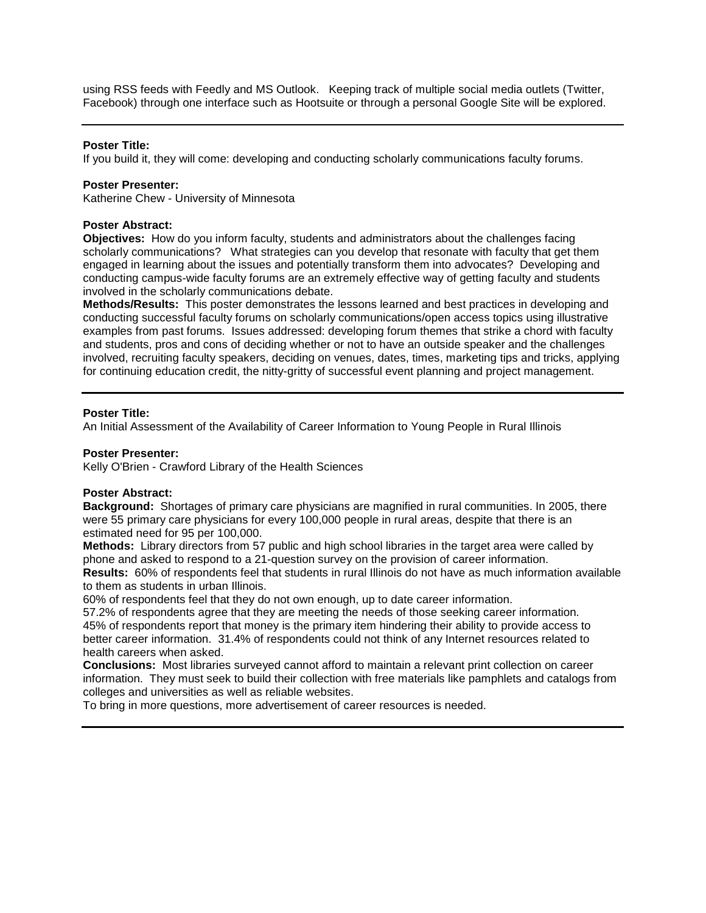using RSS feeds with Feedly and MS Outlook. Keeping track of multiple social media outlets (Twitter, Facebook) through one interface such as Hootsuite or through a personal Google Site will be explored.

## **Poster Title:**

If you build it, they will come: developing and conducting scholarly communications faculty forums.

## **Poster Presenter:**

Katherine Chew - University of Minnesota

# **Poster Abstract:**

**Objectives:** How do you inform faculty, students and administrators about the challenges facing scholarly communications? What strategies can you develop that resonate with faculty that get them engaged in learning about the issues and potentially transform them into advocates? Developing and conducting campus-wide faculty forums are an extremely effective way of getting faculty and students involved in the scholarly communications debate.

**Methods/Results:** This poster demonstrates the lessons learned and best practices in developing and conducting successful faculty forums on scholarly communications/open access topics using illustrative examples from past forums. Issues addressed: developing forum themes that strike a chord with faculty and students, pros and cons of deciding whether or not to have an outside speaker and the challenges involved, recruiting faculty speakers, deciding on venues, dates, times, marketing tips and tricks, applying for continuing education credit, the nitty-gritty of successful event planning and project management.

# **Poster Title:**

An Initial Assessment of the Availability of Career Information to Young People in Rural Illinois

# **Poster Presenter:**

Kelly O'Brien - Crawford Library of the Health Sciences

## **Poster Abstract:**

**Background:** Shortages of primary care physicians are magnified in rural communities. In 2005, there were 55 primary care physicians for every 100,000 people in rural areas, despite that there is an estimated need for 95 per 100,000.

**Methods:** Library directors from 57 public and high school libraries in the target area were called by phone and asked to respond to a 21-question survey on the provision of career information.

**Results:** 60% of respondents feel that students in rural Illinois do not have as much information available to them as students in urban Illinois.

60% of respondents feel that they do not own enough, up to date career information.

57.2% of respondents agree that they are meeting the needs of those seeking career information. 45% of respondents report that money is the primary item hindering their ability to provide access to better career information. 31.4% of respondents could not think of any Internet resources related to health careers when asked.

**Conclusions:** Most libraries surveyed cannot afford to maintain a relevant print collection on career information. They must seek to build their collection with free materials like pamphlets and catalogs from colleges and universities as well as reliable websites.

To bring in more questions, more advertisement of career resources is needed.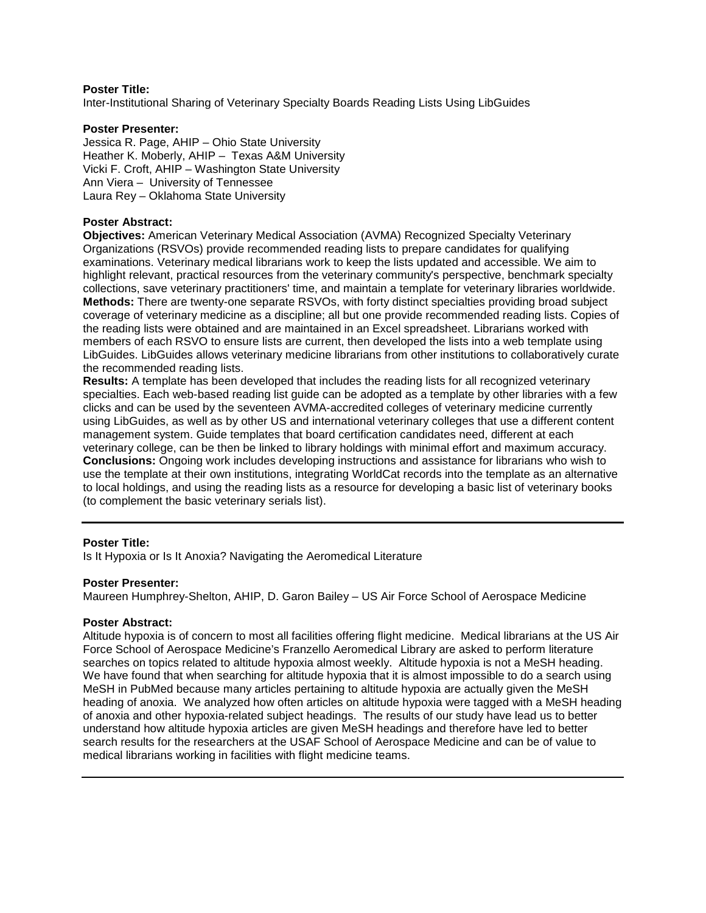Inter-Institutional Sharing of Veterinary Specialty Boards Reading Lists Using LibGuides

# **Poster Presenter:**

Jessica R. Page, AHIP – Ohio State University Heather K. Moberly, AHIP – Texas A&M University Vicki F. Croft, AHIP – Washington State University Ann Viera – University of Tennessee Laura Rey – Oklahoma State University

# **Poster Abstract:**

**Objectives:** American Veterinary Medical Association (AVMA) Recognized Specialty Veterinary Organizations (RSVOs) provide recommended reading lists to prepare candidates for qualifying examinations. Veterinary medical librarians work to keep the lists updated and accessible. We aim to highlight relevant, practical resources from the veterinary community's perspective, benchmark specialty collections, save veterinary practitioners' time, and maintain a template for veterinary libraries worldwide. **Methods:** There are twenty-one separate RSVOs, with forty distinct specialties providing broad subject coverage of veterinary medicine as a discipline; all but one provide recommended reading lists. Copies of the reading lists were obtained and are maintained in an Excel spreadsheet. Librarians worked with members of each RSVO to ensure lists are current, then developed the lists into a web template using LibGuides. LibGuides allows veterinary medicine librarians from other institutions to collaboratively curate the recommended reading lists.

**Results:** A template has been developed that includes the reading lists for all recognized veterinary specialties. Each web-based reading list guide can be adopted as a template by other libraries with a few clicks and can be used by the seventeen AVMA-accredited colleges of veterinary medicine currently using LibGuides, as well as by other US and international veterinary colleges that use a different content management system. Guide templates that board certification candidates need, different at each veterinary college, can be then be linked to library holdings with minimal effort and maximum accuracy. **Conclusions:** Ongoing work includes developing instructions and assistance for librarians who wish to use the template at their own institutions, integrating WorldCat records into the template as an alternative to local holdings, and using the reading lists as a resource for developing a basic list of veterinary books (to complement the basic veterinary serials list).

## **Poster Title:**

Is It Hypoxia or Is It Anoxia? Navigating the Aeromedical Literature

## **Poster Presenter:**

Maureen Humphrey-Shelton, AHIP, D. Garon Bailey – US Air Force School of Aerospace Medicine

## **Poster Abstract:**

Altitude hypoxia is of concern to most all facilities offering flight medicine. Medical librarians at the US Air Force School of Aerospace Medicine's Franzello Aeromedical Library are asked to perform literature searches on topics related to altitude hypoxia almost weekly. Altitude hypoxia is not a MeSH heading. We have found that when searching for altitude hypoxia that it is almost impossible to do a search using MeSH in PubMed because many articles pertaining to altitude hypoxia are actually given the MeSH heading of anoxia. We analyzed how often articles on altitude hypoxia were tagged with a MeSH heading of anoxia and other hypoxia-related subject headings. The results of our study have lead us to better understand how altitude hypoxia articles are given MeSH headings and therefore have led to better search results for the researchers at the USAF School of Aerospace Medicine and can be of value to medical librarians working in facilities with flight medicine teams.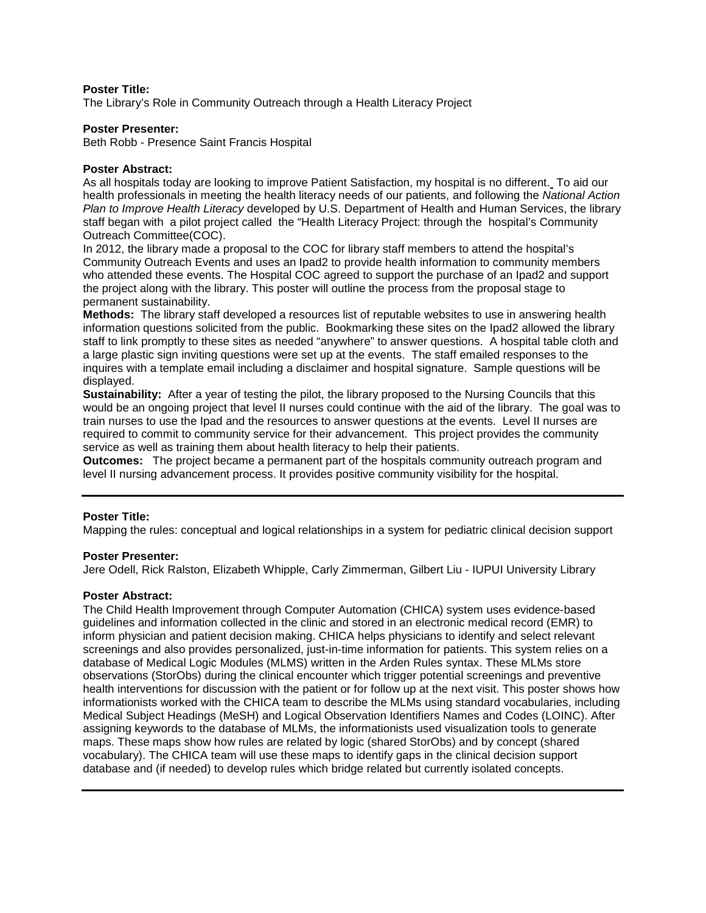The Library's Role in Community Outreach through a Health Literacy Project

## **Poster Presenter:**

Beth Robb - Presence Saint Francis Hospital

#### **Poster Abstract:**

As all hospitals today are looking to improve Patient Satisfaction, my hospital is no different. To aid our health professionals in meeting the health literacy needs of our patients, and following the *National Action Plan to Improve Health Literacy* developed by U.S. Department of Health and Human Services, the library staff began with a pilot project called the "Health Literacy Project: through the hospital's Community Outreach Committee(COC).

In 2012, the library made a proposal to the COC for library staff members to attend the hospital's Community Outreach Events and uses an Ipad2 to provide health information to community members who attended these events. The Hospital COC agreed to support the purchase of an Ipad2 and support the project along with the library. This poster will outline the process from the proposal stage to permanent sustainability.

**Methods:** The library staff developed a resources list of reputable websites to use in answering health information questions solicited from the public. Bookmarking these sites on the Ipad2 allowed the library staff to link promptly to these sites as needed "anywhere" to answer questions. A hospital table cloth and a large plastic sign inviting questions were set up at the events. The staff emailed responses to the inquires with a template email including a disclaimer and hospital signature. Sample questions will be displayed.

**Sustainability:** After a year of testing the pilot, the library proposed to the Nursing Councils that this would be an ongoing project that level II nurses could continue with the aid of the library. The goal was to train nurses to use the Ipad and the resources to answer questions at the events. Level II nurses are required to commit to community service for their advancement. This project provides the community service as well as training them about health literacy to help their patients.

**Outcomes:** The project became a permanent part of the hospitals community outreach program and level II nursing advancement process. It provides positive community visibility for the hospital.

## **Poster Title:**

Mapping the rules: conceptual and logical relationships in a system for pediatric clinical decision support

#### **Poster Presenter:**

Jere Odell, Rick Ralston, Elizabeth Whipple, Carly Zimmerman, Gilbert Liu - IUPUI University Library

## **Poster Abstract:**

The Child Health Improvement through Computer Automation (CHICA) system uses evidence-based guidelines and information collected in the clinic and stored in an electronic medical record (EMR) to inform physician and patient decision making. CHICA helps physicians to identify and select relevant screenings and also provides personalized, just-in-time information for patients. This system relies on a database of Medical Logic Modules (MLMS) written in the Arden Rules syntax. These MLMs store observations (StorObs) during the clinical encounter which trigger potential screenings and preventive health interventions for discussion with the patient or for follow up at the next visit. This poster shows how informationists worked with the CHICA team to describe the MLMs using standard vocabularies, including Medical Subject Headings (MeSH) and Logical Observation Identifiers Names and Codes (LOINC). After assigning keywords to the database of MLMs, the informationists used visualization tools to generate maps. These maps show how rules are related by logic (shared StorObs) and by concept (shared vocabulary). The CHICA team will use these maps to identify gaps in the clinical decision support database and (if needed) to develop rules which bridge related but currently isolated concepts.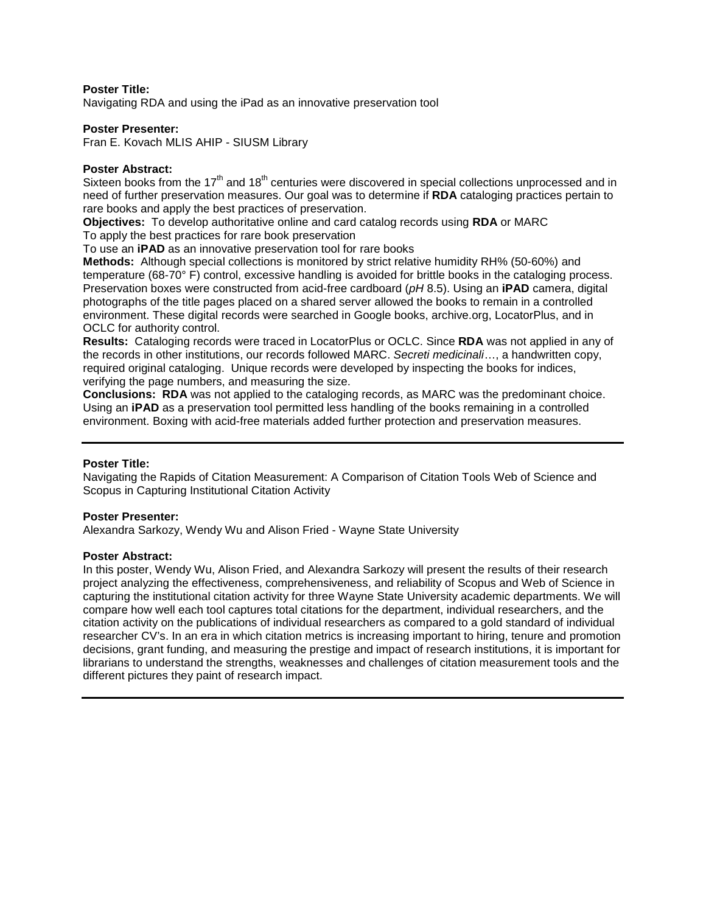Navigating RDA and using the iPad as an innovative preservation tool

## **Poster Presenter:**

Fran E. Kovach MLIS AHIP - SIUSM Library

#### **Poster Abstract:**

Sixteen books from the  $17<sup>th</sup>$  and  $18<sup>th</sup>$  centuries were discovered in special collections unprocessed and in need of further preservation measures. Our goal was to determine if **RDA** cataloging practices pertain to rare books and apply the best practices of preservation.

**Objectives:** To develop authoritative online and card catalog records using **RDA** or MARC

To apply the best practices for rare book preservation

To use an **iPAD** as an innovative preservation tool for rare books

**Methods:** Although special collections is monitored by strict relative humidity RH% (50-60%) and temperature (68-70° F) control, excessive handling is avoided for brittle books in the cataloging process. Preservation boxes were constructed from acid-free cardboard (*pH* 8.5). Using an **iPAD** camera, digital photographs of the title pages placed on a shared server allowed the books to remain in a controlled environment. These digital records were searched in Google books, archive.org, LocatorPlus, and in OCLC for authority control.

**Results:** Cataloging records were traced in LocatorPlus or OCLC. Since **RDA** was not applied in any of the records in other institutions, our records followed MARC. *Secreti medicinali*…, a handwritten copy, required original cataloging. Unique records were developed by inspecting the books for indices, verifying the page numbers, and measuring the size.

**Conclusions: RDA** was not applied to the cataloging records, as MARC was the predominant choice. Using an **iPAD** as a preservation tool permitted less handling of the books remaining in a controlled environment. Boxing with acid-free materials added further protection and preservation measures.

## **Poster Title:**

Navigating the Rapids of Citation Measurement: A Comparison of Citation Tools Web of Science and Scopus in Capturing Institutional Citation Activity

## **Poster Presenter:**

Alexandra Sarkozy, Wendy Wu and Alison Fried - Wayne State University

#### **Poster Abstract:**

In this poster, Wendy Wu, Alison Fried, and Alexandra Sarkozy will present the results of their research project analyzing the effectiveness, comprehensiveness, and reliability of Scopus and Web of Science in capturing the institutional citation activity for three Wayne State University academic departments. We will compare how well each tool captures total citations for the department, individual researchers, and the citation activity on the publications of individual researchers as compared to a gold standard of individual researcher CV's. In an era in which citation metrics is increasing important to hiring, tenure and promotion decisions, grant funding, and measuring the prestige and impact of research institutions, it is important for librarians to understand the strengths, weaknesses and challenges of citation measurement tools and the different pictures they paint of research impact.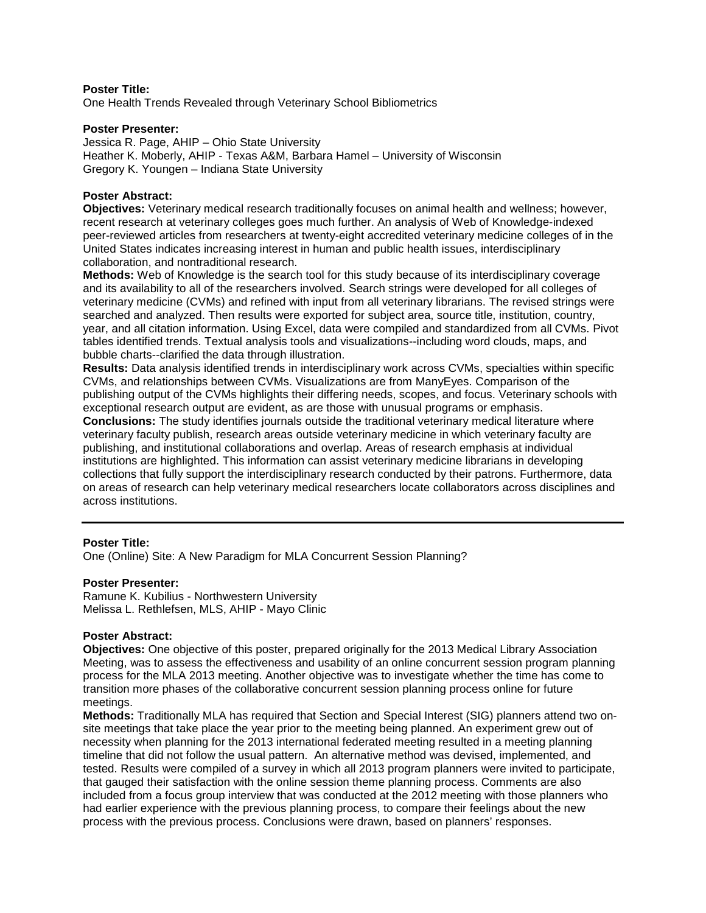One Health Trends Revealed through Veterinary School Bibliometrics

#### **Poster Presenter:**

Jessica R. Page, AHIP – Ohio State University Heather K. Moberly, AHIP - Texas A&M, Barbara Hamel – University of Wisconsin Gregory K. Youngen – Indiana State University

#### **Poster Abstract:**

**Objectives:** Veterinary medical research traditionally focuses on animal health and wellness; however, recent research at veterinary colleges goes much further. An analysis of Web of Knowledge-indexed peer-reviewed articles from researchers at twenty-eight accredited veterinary medicine colleges of in the United States indicates increasing interest in human and public health issues, interdisciplinary collaboration, and nontraditional research.

**Methods:** Web of Knowledge is the search tool for this study because of its interdisciplinary coverage and its availability to all of the researchers involved. Search strings were developed for all colleges of veterinary medicine (CVMs) and refined with input from all veterinary librarians. The revised strings were searched and analyzed. Then results were exported for subject area, source title, institution, country, year, and all citation information. Using Excel, data were compiled and standardized from all CVMs. Pivot tables identified trends. Textual analysis tools and visualizations--including word clouds, maps, and bubble charts--clarified the data through illustration.

**Results:** Data analysis identified trends in interdisciplinary work across CVMs, specialties within specific CVMs, and relationships between CVMs. Visualizations are from ManyEyes. Comparison of the publishing output of the CVMs highlights their differing needs, scopes, and focus. Veterinary schools with exceptional research output are evident, as are those with unusual programs or emphasis.

**Conclusions:** The study identifies journals outside the traditional veterinary medical literature where veterinary faculty publish, research areas outside veterinary medicine in which veterinary faculty are publishing, and institutional collaborations and overlap. Areas of research emphasis at individual institutions are highlighted. This information can assist veterinary medicine librarians in developing collections that fully support the interdisciplinary research conducted by their patrons. Furthermore, data on areas of research can help veterinary medical researchers locate collaborators across disciplines and across institutions.

## **Poster Title:**

One (Online) Site: A New Paradigm for MLA Concurrent Session Planning?

#### **Poster Presenter:**

Ramune K. Kubilius - Northwestern University Melissa L. Rethlefsen, MLS, AHIP - Mayo Clinic

## **Poster Abstract:**

**Objectives:** One objective of this poster, prepared originally for the 2013 Medical Library Association Meeting, was to assess the effectiveness and usability of an online concurrent session program planning process for the MLA 2013 meeting. Another objective was to investigate whether the time has come to transition more phases of the collaborative concurrent session planning process online for future meetings.

**Methods:** Traditionally MLA has required that Section and Special Interest (SIG) planners attend two onsite meetings that take place the year prior to the meeting being planned. An experiment grew out of necessity when planning for the 2013 international federated meeting resulted in a meeting planning timeline that did not follow the usual pattern. An alternative method was devised, implemented, and tested. Results were compiled of a survey in which all 2013 program planners were invited to participate, that gauged their satisfaction with the online session theme planning process. Comments are also included from a focus group interview that was conducted at the 2012 meeting with those planners who had earlier experience with the previous planning process, to compare their feelings about the new process with the previous process. Conclusions were drawn, based on planners' responses.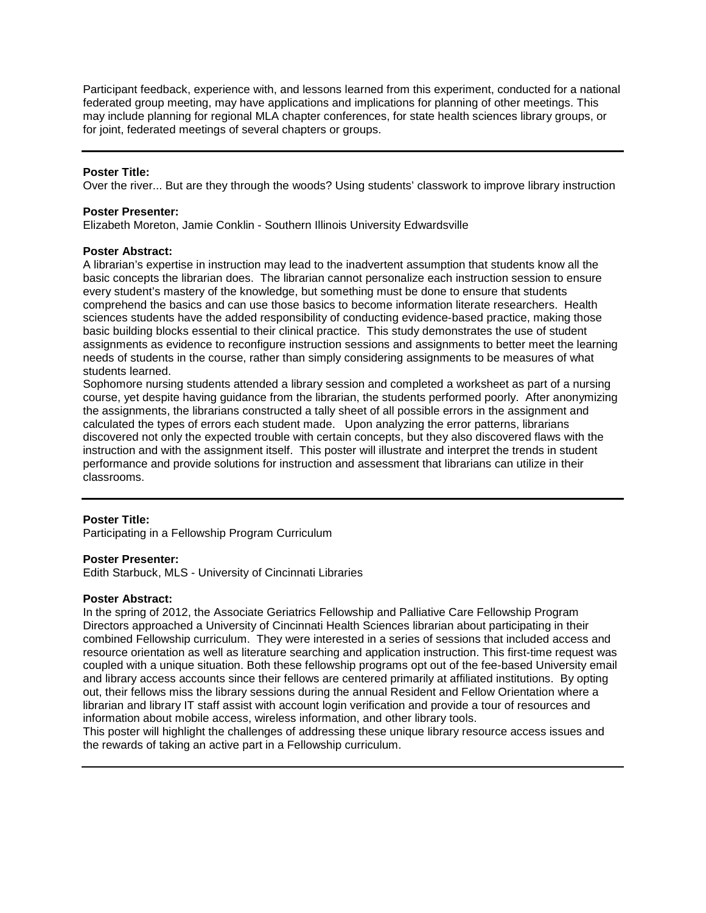Participant feedback, experience with, and lessons learned from this experiment, conducted for a national federated group meeting, may have applications and implications for planning of other meetings. This may include planning for regional MLA chapter conferences, for state health sciences library groups, or for joint, federated meetings of several chapters or groups.

#### **Poster Title:**

Over the river... But are they through the woods? Using students' classwork to improve library instruction

#### **Poster Presenter:**

Elizabeth Moreton, Jamie Conklin - Southern Illinois University Edwardsville

#### **Poster Abstract:**

A librarian's expertise in instruction may lead to the inadvertent assumption that students know all the basic concepts the librarian does. The librarian cannot personalize each instruction session to ensure every student's mastery of the knowledge, but something must be done to ensure that students comprehend the basics and can use those basics to become information literate researchers. Health sciences students have the added responsibility of conducting evidence-based practice, making those basic building blocks essential to their clinical practice. This study demonstrates the use of student assignments as evidence to reconfigure instruction sessions and assignments to better meet the learning needs of students in the course, rather than simply considering assignments to be measures of what students learned.

Sophomore nursing students attended a library session and completed a worksheet as part of a nursing course, yet despite having guidance from the librarian, the students performed poorly. After anonymizing the assignments, the librarians constructed a tally sheet of all possible errors in the assignment and calculated the types of errors each student made. Upon analyzing the error patterns, librarians discovered not only the expected trouble with certain concepts, but they also discovered flaws with the instruction and with the assignment itself. This poster will illustrate and interpret the trends in student performance and provide solutions for instruction and assessment that librarians can utilize in their classrooms.

#### **Poster Title:**

Participating in a Fellowship Program Curriculum

#### **Poster Presenter:**

Edith Starbuck, MLS - University of Cincinnati Libraries

#### **Poster Abstract:**

In the spring of 2012, the Associate Geriatrics Fellowship and Palliative Care Fellowship Program Directors approached a University of Cincinnati Health Sciences librarian about participating in their combined Fellowship curriculum. They were interested in a series of sessions that included access and resource orientation as well as literature searching and application instruction. This first-time request was coupled with a unique situation. Both these fellowship programs opt out of the fee-based University email and library access accounts since their fellows are centered primarily at affiliated institutions. By opting out, their fellows miss the library sessions during the annual Resident and Fellow Orientation where a librarian and library IT staff assist with account login verification and provide a tour of resources and information about mobile access, wireless information, and other library tools.

This poster will highlight the challenges of addressing these unique library resource access issues and the rewards of taking an active part in a Fellowship curriculum.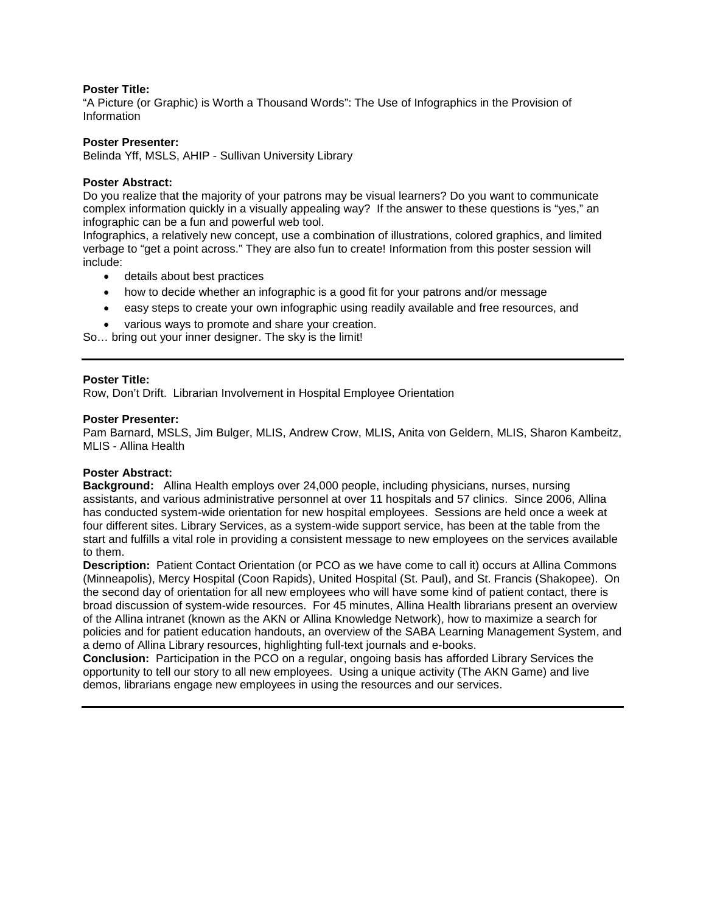"A Picture (or Graphic) is Worth a Thousand Words": The Use of Infographics in the Provision of Information

#### **Poster Presenter:**

Belinda Yff, MSLS, AHIP - Sullivan University Library

#### **Poster Abstract:**

Do you realize that the majority of your patrons may be visual learners? Do you want to communicate complex information quickly in a visually appealing way? If the answer to these questions is "yes," an infographic can be a fun and powerful web tool.

Infographics, a relatively new concept, use a combination of illustrations, colored graphics, and limited verbage to "get a point across." They are also fun to create! Information from this poster session will include:

- details about best practices
- how to decide whether an infographic is a good fit for your patrons and/or message
- easy steps to create your own infographic using readily available and free resources, and
- various ways to promote and share your creation.

So… bring out your inner designer. The sky is the limit!

#### **Poster Title:**

Row, Don't Drift. Librarian Involvement in Hospital Employee Orientation

#### **Poster Presenter:**

Pam Barnard, MSLS, Jim Bulger, MLIS, Andrew Crow, MLIS, Anita von Geldern, MLIS, Sharon Kambeitz, MLIS - Allina Health

#### **Poster Abstract:**

**Background:** Allina Health employs over 24,000 people, including physicians, nurses, nursing assistants, and various administrative personnel at over 11 hospitals and 57 clinics. Since 2006, Allina has conducted system-wide orientation for new hospital employees. Sessions are held once a week at four different sites. Library Services, as a system-wide support service, has been at the table from the start and fulfills a vital role in providing a consistent message to new employees on the services available to them.

**Description:** Patient Contact Orientation (or PCO as we have come to call it) occurs at Allina Commons (Minneapolis), Mercy Hospital (Coon Rapids), United Hospital (St. Paul), and St. Francis (Shakopee). On the second day of orientation for all new employees who will have some kind of patient contact, there is broad discussion of system-wide resources. For 45 minutes, Allina Health librarians present an overview of the Allina intranet (known as the AKN or Allina Knowledge Network), how to maximize a search for policies and for patient education handouts, an overview of the SABA Learning Management System, and a demo of Allina Library resources, highlighting full-text journals and e-books.

**Conclusion:**Participation in the PCO on a regular, ongoing basis has afforded Library Services the opportunity to tell our story to all new employees. Using a unique activity (The AKN Game) and live demos, librarians engage new employees in using the resources and our services.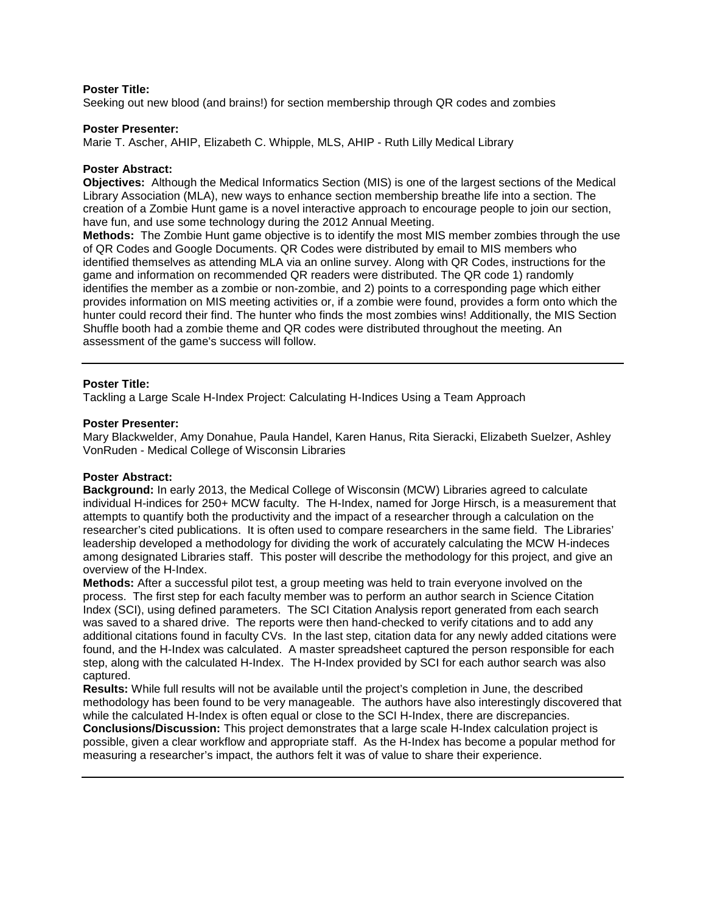Seeking out new blood (and brains!) for section membership through QR codes and zombies

#### **Poster Presenter:**

Marie T. Ascher, AHIP, Elizabeth C. Whipple, MLS, AHIP - Ruth Lilly Medical Library

#### **Poster Abstract:**

**Objectives:** Although the Medical Informatics Section (MIS) is one of the largest sections of the Medical Library Association (MLA), new ways to enhance section membership breathe life into a section. The creation of a Zombie Hunt game is a novel interactive approach to encourage people to join our section, have fun, and use some technology during the 2012 Annual Meeting.

**Methods:** The Zombie Hunt game objective is to identify the most MIS member zombies through the use of QR Codes and Google Documents. QR Codes were distributed by email to MIS members who identified themselves as attending MLA via an online survey. Along with QR Codes, instructions for the game and information on recommended QR readers were distributed. The QR code 1) randomly identifies the member as a zombie or non-zombie, and 2) points to a corresponding page which either provides information on MIS meeting activities or, if a zombie were found, provides a form onto which the hunter could record their find. The hunter who finds the most zombies wins! Additionally, the MIS Section Shuffle booth had a zombie theme and QR codes were distributed throughout the meeting. An assessment of the game's success will follow.

#### **Poster Title:**

Tackling a Large Scale H-Index Project: Calculating H-Indices Using a Team Approach

#### **Poster Presenter:**

Mary Blackwelder, Amy Donahue, Paula Handel, Karen Hanus, Rita Sieracki, Elizabeth Suelzer, Ashley VonRuden - Medical College of Wisconsin Libraries

## **Poster Abstract:**

**Background:** In early 2013, the Medical College of Wisconsin (MCW) Libraries agreed to calculate individual H-indices for 250+ MCW faculty. The H-Index, named for Jorge Hirsch, is a measurement that attempts to quantify both the productivity and the impact of a researcher through a calculation on the researcher's cited publications. It is often used to compare researchers in the same field. The Libraries' leadership developed a methodology for dividing the work of accurately calculating the MCW H-indeces among designated Libraries staff. This poster will describe the methodology for this project, and give an overview of the H-Index.

**Methods:** After a successful pilot test, a group meeting was held to train everyone involved on the process. The first step for each faculty member was to perform an author search in Science Citation Index (SCI), using defined parameters. The SCI Citation Analysis report generated from each search was saved to a shared drive. The reports were then hand-checked to verify citations and to add any additional citations found in faculty CVs. In the last step, citation data for any newly added citations were found, and the H-Index was calculated. A master spreadsheet captured the person responsible for each step, along with the calculated H-Index. The H-Index provided by SCI for each author search was also captured.

**Results:** While full results will not be available until the project's completion in June, the described methodology has been found to be very manageable. The authors have also interestingly discovered that while the calculated H-Index is often equal or close to the SCI H-Index, there are discrepancies. **Conclusions/Discussion:** This project demonstrates that a large scale H-Index calculation project is possible, given a clear workflow and appropriate staff. As the H-Index has become a popular method for measuring a researcher's impact, the authors felt it was of value to share their experience.